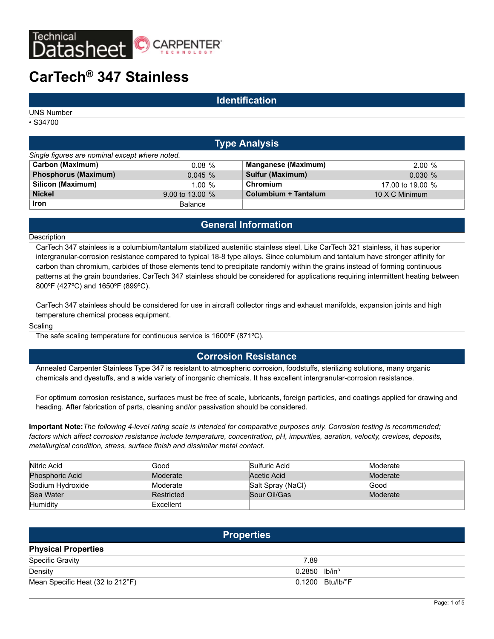

# **CarTech® 347 Stainless**

#### **Identification**

UNS Number

• S34700

## **Type Analysis** *Single figures are nominal except where noted.* **Carbon (Maximum)** 0.08 % **Manganese (Maximum)** 2.00 % **Phosphorus (Maximum)** 0.045 % **Sulfur (Maximum)** 0.030 % **Silicon (Maximum)** 1.00 % **Chromium** 17.00 to 19.00 % **Nickel** 9.00 to 13.00 % **Columbium + Tantalum** 10 X C Minimum **Iron** Balance

## **General Information**

#### **Description**

CarTech 347 stainless is a columbium/tantalum stabilized austenitic stainless steel. Like CarTech 321 stainless, it has superior intergranular-corrosion resistance compared to typical 18-8 type alloys. Since columbium and tantalum have stronger affinity for carbon than chromium, carbides of those elements tend to precipitate randomly within the grains instead of forming continuous patterns at the grain boundaries. CarTech 347 stainless should be considered for applications requiring intermittent heating between 800ºF (427ºC) and 1650ºF (899ºC).

CarTech 347 stainless should be considered for use in aircraft collector rings and exhaust manifolds, expansion joints and high temperature chemical process equipment.

Scaling

The safe scaling temperature for continuous service is 1600ºF (871ºC).

## **Corrosion Resistance**

Annealed Carpenter Stainless Type 347 is resistant to atmospheric corrosion, foodstuffs, sterilizing solutions, many organic chemicals and dyestuffs, and a wide variety of inorganic chemicals. It has excellent intergranular-corrosion resistance.

For optimum corrosion resistance, surfaces must be free of scale, lubricants, foreign particles, and coatings applied for drawing and heading. After fabrication of parts, cleaning and/or passivation should be considered.

**Important Note:***The following 4-level rating scale is intended for comparative purposes only. Corrosion testing is recommended; factors which affect corrosion resistance include temperature, concentration, pH, impurities, aeration, velocity, crevices, deposits, metallurgical condition, stress, surface finish and dissimilar metal contact.*

| Nitric Acid      | Good       | Sulfuric Acid     | Moderate |
|------------------|------------|-------------------|----------|
| Phosphoric Acid  | Moderate   | Acetic Acid       | Moderate |
| Sodium Hydroxide | Moderate   | Salt Spray (NaCl) | Good     |
| <b>Sea Water</b> | Restricted | Sour Oil/Gas      | Moderate |
| Humidity         | Excellent  |                   |          |

|                                  | <b>Properties</b>           |                              |
|----------------------------------|-----------------------------|------------------------------|
| <b>Physical Properties</b>       |                             |                              |
| <b>Specific Gravity</b>          | 7.89                        |                              |
| Density                          | $0.2850$ lb/in <sup>3</sup> |                              |
| Mean Specific Heat (32 to 212°F) |                             | $0.1200$ Btu/lb/ $\degree$ F |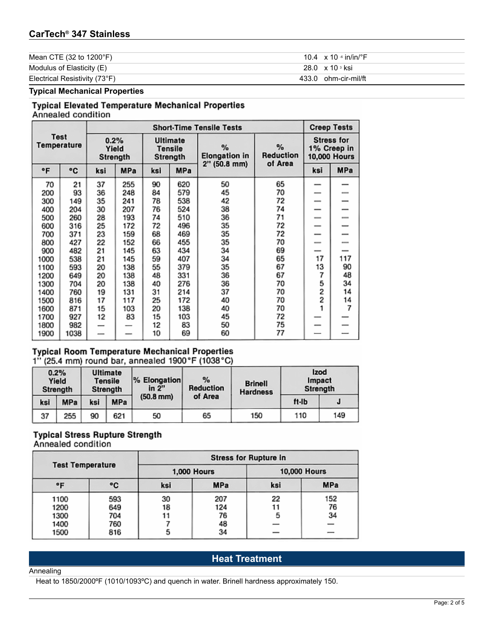# **CarTech® 347 Stainless**

| Mean CTE (32 to 1200°F)       | $10.4 \times 10 \cdot \sin/\ln$ <sup>o</sup> F |  |
|-------------------------------|------------------------------------------------|--|
| Modulus of Elasticity (E)     | 28.0 x 10 ∘ksi                                 |  |
| Electrical Resistivity (73°F) | 433.0 ohm-cir-mil/ft                           |  |

**Typical Mechanical Properties**

# **Typical Elevated Temperature Mechanical Properties**

Annealed condition

|                            |      |                           |            |           |                                               | <b>Short-Time Tensile Tests</b> |                              |                          | <b>Creep Tests</b>                                      |
|----------------------------|------|---------------------------|------------|-----------|-----------------------------------------------|---------------------------------|------------------------------|--------------------------|---------------------------------------------------------|
| <b>Test</b><br>Temperature |      | 0.2%<br>Yield<br>Strength |            |           | <b>Ultimate</b><br><b>Tensile</b><br>Strength | %<br><b>Elongation in</b>       | $\%$<br>Reduction<br>of Area |                          | <b>Stress for</b><br>1% Creep in<br><b>10,000 Hours</b> |
| ۰F                         | ۰c   | ksi                       | <b>MPa</b> | ksi       | <b>MPa</b>                                    | $2"$ (50.8 mm)                  |                              | ksi                      | MPa                                                     |
| 70                         | 21   | 37                        | 255        | 90        | 620                                           | 50                              | 65                           |                          |                                                         |
| 200                        | 93   | 36                        | 248        | 84        | 579                                           | 45                              | 70                           |                          |                                                         |
| 300                        | 149  | 35                        | 241        | 78        | 538                                           | 42                              | 72                           | -                        |                                                         |
| 400                        | 204  | 30                        | 207        | 76        | 524                                           | 38                              | 74                           |                          | -                                                       |
| 500                        | 260  | 28                        | 193        | 74        | 510                                           | 36                              | 71                           | $\overline{\phantom{a}}$ |                                                         |
| 600                        | 316  | 25                        | 172        | 72<br>496 |                                               | 35                              | 72                           |                          |                                                         |
| 700                        | 371  | 23                        | 159        | 68        | 469                                           | 35                              | 72                           |                          |                                                         |
| 800                        | 427  | 22                        | 152        | 66        | 455                                           | 35                              | 70                           |                          |                                                         |
| 900                        | 482  | 21                        | 145        | 63        | 434                                           | 34                              | 69                           |                          |                                                         |
| 1000                       | 538  | 21                        | 145        | 59        | 407                                           | 34                              | 65                           | 17                       | 117                                                     |
| 1100                       | 593  | 20                        | 138        | 55        | 379                                           | 35                              | 67                           | 13                       | 90                                                      |
| 1200                       | 649  | 20                        | 138        | 48        | 331                                           | 36                              | 67                           | 7                        | 48                                                      |
| 1300                       | 704  | 20                        | 138        | 40        | 276                                           | 36                              | 70                           | 5                        | 34                                                      |
| 1400                       | 760  | 19                        | 131        | 31        | 214                                           | 37                              | 70                           | 2                        | 14                                                      |
| 1500                       | 816  | 17                        | 117        | 25        | 172                                           | 40                              | 70                           | 2                        | 14                                                      |
| 1600                       | 871  | 15                        | 103        | 20        | 138                                           | 40                              | 70                           |                          | 7                                                       |
| 1700                       | 927  | 12                        | 83         | 15        | 103                                           | 45                              | 72                           |                          |                                                         |
| 1800                       | 982  |                           |            | 12        | 83                                            | 50                              | 75                           |                          |                                                         |
| 1900                       | 1038 |                           |            | 10        | 69                                            | 60                              | 77                           |                          |                                                         |

# Typical Room Temperature Mechanical Properties<br>1" (25.4 mm) round bar, annealed 1900°F (1038°C)

|     | 0.2%<br><b>Ultimate</b><br>Yield<br>Tensile<br>Strength<br>Strength |     |     | % Elongation<br>in 2" | $\frac{1}{2}$<br>Reduction | <b>Brinell</b><br><b>Hardness</b> | izod<br>Impact<br>Strength |     |  |
|-----|---------------------------------------------------------------------|-----|-----|-----------------------|----------------------------|-----------------------------------|----------------------------|-----|--|
| ksi | <b>MPa</b>                                                          | ksi | MPa | $(50.8 \text{ mm})$   | of Area                    |                                   | ft-lb                      | J   |  |
| 37  | 255                                                                 | 90  | 621 | 50                    | 65                         | 150                               | 110                        | 149 |  |

# Typical Stress Rupture Strength<br>Annealed condition

|                         |     | <b>Stress for Rupture in</b> |                    |                     |            |  |  |  |  |
|-------------------------|-----|------------------------------|--------------------|---------------------|------------|--|--|--|--|
| <b>Test Temperature</b> |     |                              | <b>1,000 Hours</b> | <b>10,000 Hours</b> |            |  |  |  |  |
| ۰F                      | ۰c  | ksi                          | MPa                | ksi                 | <b>MPa</b> |  |  |  |  |
| 1100                    | 593 | 30                           | 207                | 22                  | 152        |  |  |  |  |
| 1200                    | 649 | 18                           | 124                |                     | 76         |  |  |  |  |
| 1300                    | 704 |                              | 76                 | 5                   | 34         |  |  |  |  |
| 1400                    | 760 |                              | 48                 |                     |            |  |  |  |  |
| 1500                    | 816 |                              | 34                 |                     |            |  |  |  |  |

# **Heat Treatment**

Annealing

Heat to 1850/2000ºF (1010/1093ºC) and quench in water. Brinell hardness approximately 150.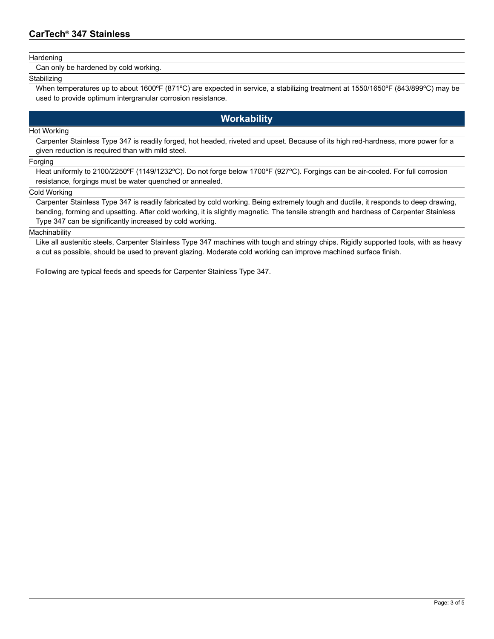#### Hardening

Can only be hardened by cold working.

#### **Stabilizing**

When temperatures up to about 1600°F (871°C) are expected in service, a stabilizing treatment at 1550/1650°F (843/899°C) may be used to provide optimum intergranular corrosion resistance.

# **Workability**

#### Hot Working

Carpenter Stainless Type 347 is readily forged, hot headed, riveted and upset. Because of its high red-hardness, more power for a given reduction is required than with mild steel.

#### Forging

Heat uniformly to 2100/2250ºF (1149/1232ºC). Do not forge below 1700ºF (927ºC). Forgings can be air-cooled. For full corrosion resistance, forgings must be water quenched or annealed.

#### Cold Working

Carpenter Stainless Type 347 is readily fabricated by cold working. Being extremely tough and ductile, it responds to deep drawing, bending, forming and upsetting. After cold working, it is slightly magnetic. The tensile strength and hardness of Carpenter Stainless Type 347 can be significantly increased by cold working.

#### **Machinability**

Like all austenitic steels, Carpenter Stainless Type 347 machines with tough and stringy chips. Rigidly supported tools, with as heavy a cut as possible, should be used to prevent glazing. Moderate cold working can improve machined surface finish.

Following are typical feeds and speeds for Carpenter Stainless Type 347.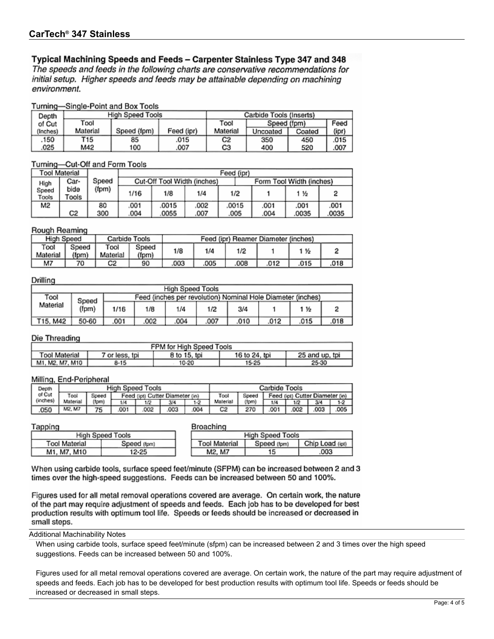# Typical Machining Speeds and Feeds - Carpenter Stainless Type 347 and 348

The speeds and feeds in the following charts are conservative recommendations for initial setup. Higher speeds and feeds may be attainable depending on machining environment.

## Turning-Single-Point and Box Tools

| Depth    |          | High Speed Tools |            | Carbide Tools (Inserts) |             |        |       |  |
|----------|----------|------------------|------------|-------------------------|-------------|--------|-------|--|
| of Cut   | Tool     |                  |            | Tool                    | Speed (fpm) | Feed   |       |  |
| (Inches) | Material | Speed (fpm)      | Feed (ipr) | Material                | Uncoated    | Coated | (ipr) |  |
| 150      | T15      | 85               | .015       | C2                      | 350         | 450    | 015   |  |
| 025      | M42      | 100              | .007       | CЗ                      | 400         | 520    | .007  |  |

#### Turning-Cut-Off and Form Tools

|                | Tool Material |       |      | Feed (ipr)                  |      |                          |      |       |       |  |  |  |
|----------------|---------------|-------|------|-----------------------------|------|--------------------------|------|-------|-------|--|--|--|
| High           | Car-          | Speed |      | Cut-Off Tool Width (inches) |      | Form Tool Width (inches) |      |       |       |  |  |  |
| Speed<br>Tools | bide<br>Tools | (fpm) | 1/16 | 1/8                         | 1/4  | 1/2                      |      | 1 ½   |       |  |  |  |
| м2             |               | 80    | .001 | 0015                        | 002  | 0015                     | .001 | .001  | .001  |  |  |  |
|                | C2            | 300   | .004 | 0055                        | .007 | .005                     | .004 | .0035 | .0035 |  |  |  |

#### Rough Reaming

| High Speed<br>Carbide Tools |                |                  |                |      |      |      | Feed (ipr) Reamer Diameter (inches) |       |      |
|-----------------------------|----------------|------------------|----------------|------|------|------|-------------------------------------|-------|------|
| Tool<br>Material            | Speed<br>(fpm) | Tool<br>Material | Speed<br>(fpm) | 1/8  | 1/4  | 1/2  |                                     | 1 1/2 |      |
| M7                          | 70             | C2               | 90             | .003 | .005 | .008 | .012                                | .015  | .018 |

#### Drilling

|          | <b>High Speed Tools</b> |      |                                                             |      |      |      |      |      |      |  |  |  |
|----------|-------------------------|------|-------------------------------------------------------------|------|------|------|------|------|------|--|--|--|
| Tool     | Speed                   |      | Feed (inches per revolution) Nominal Hole Diameter (inches) |      |      |      |      |      |      |  |  |  |
| Material | (fpm)                   | 1/16 | 1/8                                                         | 1/4  | 1/2  | 3/4  |      | 1½   |      |  |  |  |
| T15, M42 | 50-60                   | .001 | .002                                                        | .004 | .007 | .010 | .012 | .015 | .018 |  |  |  |

#### Die Threading

|                                                                                           | FPM for High Speed Tools |       |       |       |  |  |  |  |  |  |  |
|-------------------------------------------------------------------------------------------|--------------------------|-------|-------|-------|--|--|--|--|--|--|--|
| <b>Tool Material</b><br>16 to 24, tpi<br>25 and up, tpi<br>8 to 15, tpi<br>7 or less, tpi |                          |       |       |       |  |  |  |  |  |  |  |
| M1, M2, M7, M10                                                                           | 8-15                     | 10-20 | 15-25 | 25-30 |  |  |  |  |  |  |  |

#### Milling, End-Peripheral

| Depth    |          | <b>High Speed Tools</b> |     |                                 |     | Carbide Tools |          |       |                                 |     |      |       |
|----------|----------|-------------------------|-----|---------------------------------|-----|---------------|----------|-------|---------------------------------|-----|------|-------|
| of Cut   | Tool     | Speed                   |     | Feed (ipt) Cutter Diameter (in) |     |               | Tool     | Speed | Feed (ipt) Cutter Diameter (in) |     |      |       |
| (inches) | Material | "forn).                 | 1/4 | 1/2                             | 3/4 | $1-2$         | Material | (fpm) | 1/4                             | 1/2 | 34   | $1-2$ |
| 050      | M2, M7   | 75                      | 001 | 002                             | 003 | 004           | C2       | 270   | 001                             | 002 | .003 | 005   |

#### Tapping

| ,,,,,,        |                  | <b>DIAGAINIA</b>     |                         |                 |
|---------------|------------------|----------------------|-------------------------|-----------------|
|               | High Speed Tools |                      | <b>High Speed Tools</b> |                 |
| Tool Material | Speed (fpm)      | <b>Tool Material</b> | Speed (fpm)             | Chip Load (ipt) |
| M1, M7, M10   | 12-25            | M2. M7               | 15                      | .003            |

**Broaching** 

When using carbide tools, surface speed feet/minute (SFPM) can be increased between 2 and 3 times over the high-speed suggestions. Feeds can be increased between 50 and 100%.

Figures used for all metal removal operations covered are average. On certain work, the nature of the part may require adjustment of speeds and feeds. Each job has to be developed for best production results with optimum tool life. Speeds or feeds should be increased or decreased in small steps.

Additional Machinability Notes

When using carbide tools, surface speed feet/minute (sfpm) can be increased between 2 and 3 times over the high speed suggestions. Feeds can be increased between 50 and 100%.

Figures used for all metal removal operations covered are average. On certain work, the nature of the part may require adjustment of speeds and feeds. Each job has to be developed for best production results with optimum tool life. Speeds or feeds should be increased or decreased in small steps.